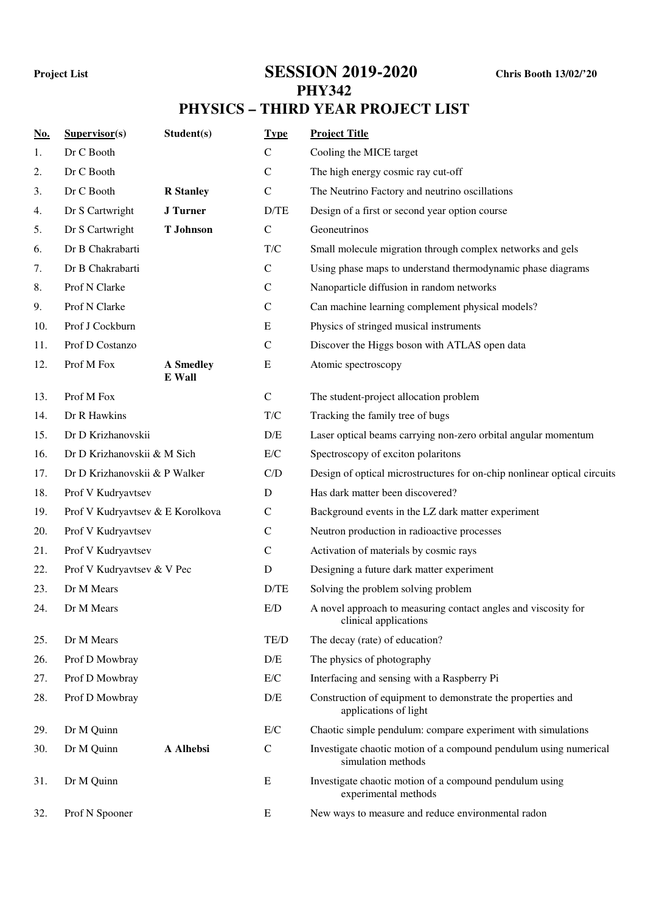## **Project List SESSION 2019-2020 Chris Booth 13/02/'20**

## **PHY342 PHYSICS – THIRD YEAR PROJECT LIST**

| No. | Supervisor(s)                    | Student(s)                 | <b>Type</b>             | <b>Project Title</b>                                                                    |  |
|-----|----------------------------------|----------------------------|-------------------------|-----------------------------------------------------------------------------------------|--|
| 1.  | Dr C Booth                       |                            | $\mathbf C$             | Cooling the MICE target                                                                 |  |
| 2.  | Dr C Booth                       |                            | $\mathbf C$             | The high energy cosmic ray cut-off                                                      |  |
| 3.  | Dr C Booth                       | <b>R</b> Stanley           | $\mathbf C$             | The Neutrino Factory and neutrino oscillations                                          |  |
| 4.  | Dr S Cartwright                  | <b>J</b> Turner            | D/TE                    | Design of a first or second year option course                                          |  |
| 5.  | Dr S Cartwright                  | <b>T</b> Johnson           | $\mathbf C$             | Geoneutrinos                                                                            |  |
| 6.  | Dr B Chakrabarti                 |                            | $\mathrm{T}/\mathrm{C}$ | Small molecule migration through complex networks and gels                              |  |
| 7.  | Dr B Chakrabarti                 |                            | $\mathbf C$             | Using phase maps to understand thermodynamic phase diagrams                             |  |
| 8.  | Prof N Clarke                    |                            | $\mathsf C$             | Nanoparticle diffusion in random networks                                               |  |
| 9.  | Prof N Clarke                    |                            | $\mathbf C$             | Can machine learning complement physical models?                                        |  |
| 10. | Prof J Cockburn                  |                            | ${\bf E}$               | Physics of stringed musical instruments                                                 |  |
| 11. | Prof D Costanzo                  |                            | $\mathsf{C}$            | Discover the Higgs boson with ATLAS open data                                           |  |
| 12. | Prof M Fox                       | <b>A</b> Smedley<br>E Wall | E                       | Atomic spectroscopy                                                                     |  |
| 13. | Prof M Fox                       |                            | $\mathsf{C}$            | The student-project allocation problem                                                  |  |
| 14. | Dr R Hawkins                     |                            | T/C                     | Tracking the family tree of bugs                                                        |  |
| 15. | Dr D Krizhanovskii               |                            | D/E                     | Laser optical beams carrying non-zero orbital angular momentum                          |  |
| 16. | Dr D Krizhanovskii & M Sich      |                            | E/C                     | Spectroscopy of exciton polaritons                                                      |  |
| 17. | Dr D Krizhanovskii & P Walker    |                            | C/D                     | Design of optical microstructures for on-chip nonlinear optical circuits                |  |
| 18. | Prof V Kudryavtsev               |                            | $\mathbf D$             | Has dark matter been discovered?                                                        |  |
| 19. | Prof V Kudryavtsev & E Korolkova |                            | $\mathbf C$             | Background events in the LZ dark matter experiment                                      |  |
| 20. | Prof V Kudryavtsev               |                            | $\mathsf{C}$            | Neutron production in radioactive processes                                             |  |
| 21. | Prof V Kudryavtsev               |                            | $\mathsf{C}$            | Activation of materials by cosmic rays                                                  |  |
| 22. | Prof V Kudryavtsev & V Pec       |                            | D                       | Designing a future dark matter experiment                                               |  |
| 23. | Dr M Mears                       |                            | D/TE                    | Solving the problem solving problem                                                     |  |
| 24. | Dr M Mears                       |                            | E/D                     | A novel approach to measuring contact angles and viscosity for<br>clinical applications |  |
| 25. | Dr M Mears                       |                            | TE/D                    | The decay (rate) of education?                                                          |  |
| 26. | Prof D Mowbray                   |                            | D/E                     | The physics of photography                                                              |  |
| 27. | Prof D Mowbray                   |                            | E/C                     | Interfacing and sensing with a Raspberry Pi                                             |  |
| 28. | Prof D Mowbray                   |                            | D/E                     | Construction of equipment to demonstrate the properties and<br>applications of light    |  |
| 29. | Dr M Quinn                       |                            | E/C                     | Chaotic simple pendulum: compare experiment with simulations                            |  |
| 30. | Dr M Quinn                       | A Alhebsi                  | $\mathbf C$             | Investigate chaotic motion of a compound pendulum using numerical<br>simulation methods |  |
| 31. | Dr M Quinn                       |                            | E                       | Investigate chaotic motion of a compound pendulum using<br>experimental methods         |  |
| 32. | Prof N Spooner                   |                            | E                       | New ways to measure and reduce environmental radon                                      |  |